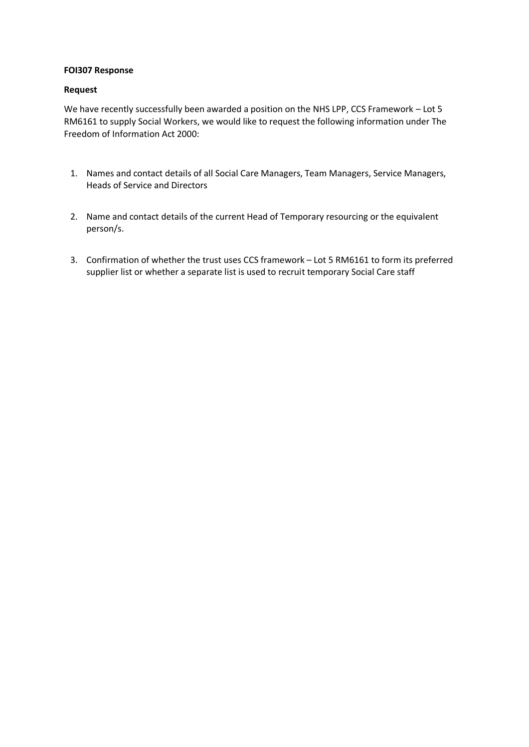### **FOI307 Response**

#### **Request**

We have recently successfully been awarded a position on the NHS LPP, CCS Framework – Lot 5 RM6161 to supply Social Workers, we would like to request the following information under The Freedom of Information Act 2000:

- 1. Names and contact details of all Social Care Managers, Team Managers, Service Managers, Heads of Service and Directors
- 2. Name and contact details of the current Head of Temporary resourcing or the equivalent person/s.
- 3. Confirmation of whether the trust uses CCS framework Lot 5 RM6161 to form its preferred supplier list or whether a separate list is used to recruit temporary Social Care staff